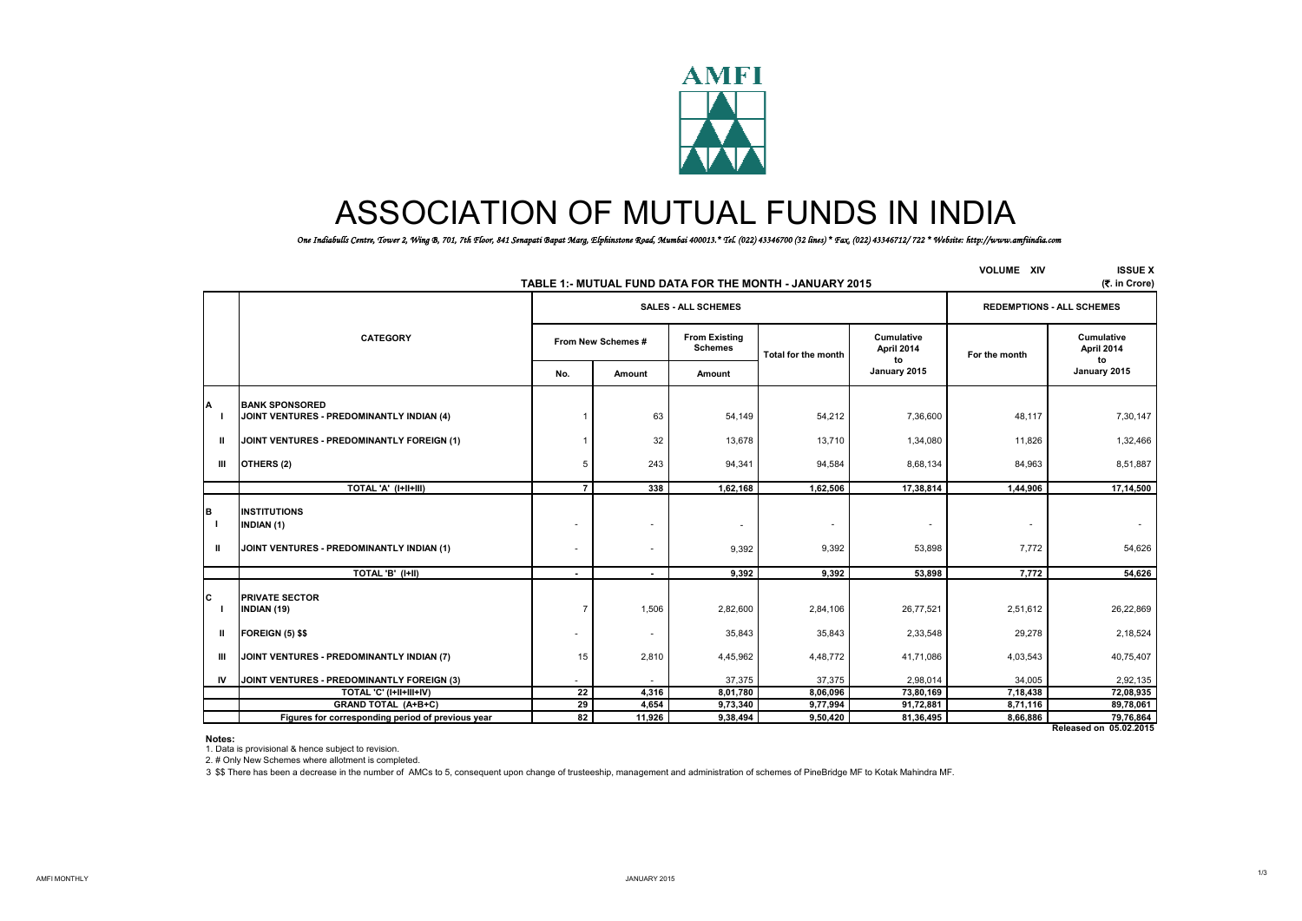

# ASSOCIATION OF MUTUAL FUNDS IN INDIA

*One Indiabulls Centre, Tower 2, Wing B, 701, 7th Floor, 841 Senapati Bapat Marg, Elphinstone Road, Mumbai 400013.\* Tel. (022) 43346700 (32 lines) \* Fax. (022) 43346712/ 722 \* Website: http://www.amfiindia.com*

|               |                                                                                       | <b>VOLUME XIV</b>  | <b>ISSUE X</b><br>(₹. in Crore) |                                        |                                                          |                          |                                   |                                  |
|---------------|---------------------------------------------------------------------------------------|--------------------|---------------------------------|----------------------------------------|----------------------------------------------------------|--------------------------|-----------------------------------|----------------------------------|
|               |                                                                                       |                    |                                 | <b>SALES - ALL SCHEMES</b>             | TABLE 1: - MUTUAL FUND DATA FOR THE MONTH - JANUARY 2015 |                          |                                   | <b>REDEMPTIONS - ALL SCHEMES</b> |
|               | <b>CATEGORY</b>                                                                       | From New Schemes # |                                 | <b>From Existing</b><br><b>Schemes</b> | Total for the month                                      | Cumulative<br>April 2014 | For the month                     | Cumulative<br>April 2014         |
|               |                                                                                       | No.                | Amount                          | Amount                                 |                                                          | to<br>January 2015       |                                   | to<br>January 2015               |
|               | <b>BANK SPONSORED</b><br>JOINT VENTURES - PREDOMINANTLY INDIAN (4)                    |                    | 63                              | 54,149                                 | 54,212                                                   | 7,36,600                 | 48,117                            | 7,30,147                         |
| Ш             | JOINT VENTURES - PREDOMINANTLY FOREIGN (1)                                            |                    | 32                              | 13,678                                 | 13,710                                                   | 1,34,080                 | 11,826                            | 1,32,466                         |
| Ш             | OTHERS (2)                                                                            | 5                  | 243                             | 94,341                                 | 94,584                                                   | 8,68,134                 | 84,963                            | 8,51,887                         |
|               | TOTAL 'A' (I+II+III)                                                                  | $\overline{7}$     | 338                             | 1,62,168                               | 1,62,506                                                 | 17,38,814                | 1,44,906                          | 17,14,500                        |
| в<br>- 1<br>Ш | <b>INSTITUTIONS</b><br><b>INDIAN (1)</b><br>JOINT VENTURES - PREDOMINANTLY INDIAN (1) | ٠                  | ٠                               | $\overline{\phantom{a}}$<br>9,392      | $\overline{\phantom{a}}$<br>9,392                        | ٠.<br>53,898             | $\overline{\phantom{a}}$<br>7,772 | 54,626                           |
|               | TOTAL 'B' (I+II)                                                                      | $\blacksquare$     |                                 | 9,392                                  | 9,392                                                    | 53,898                   | 7,772                             | 54,626                           |
| C             | <b>PRIVATE SECTOR</b><br><b>INDIAN (19)</b>                                           | $\overline{7}$     | 1,506                           | 2,82,600                               | 2,84,106                                                 | 26,77,521                | 2,51,612                          | 26,22,869                        |
| Ш             | <b>FOREIGN (5) \$\$</b>                                                               | ٠                  | $\overline{\phantom{a}}$        | 35,843                                 | 35,843                                                   | 2,33,548                 | 29,278                            | 2,18,524                         |
| Ш             | JOINT VENTURES - PREDOMINANTLY INDIAN (7)                                             | 15                 | 2,810                           | 4,45,962                               | 4,48,772                                                 | 41,71,086                | 4,03,543                          | 40,75,407                        |
| <b>IV</b>     | JOINT VENTURES - PREDOMINANTLY FOREIGN (3)                                            |                    |                                 | 37,375                                 | 37,375                                                   | 2,98,014                 | 34,005                            | 2,92,135                         |
|               | TOTAL 'C' (I+II+III+IV)                                                               | 22                 | 4,316                           | 8,01,780                               | 8,06,096                                                 | 73,80,169                | 7,18,438                          | 72,08,935                        |
|               | GRAND TOTAL (A+B+C)                                                                   | 29                 | 4,654                           | 9,73,340                               | 9,77,994                                                 | 91,72,881                | 8,71,116                          | 89,78,061                        |
|               | Figures for corresponding period of previous year                                     | 82                 | 11,926                          | 9,38,494                               | 9,50,420                                                 | 81,36,495                | 8,66,886                          | 79,76,864                        |

**Released on 05.02.2015**

**Notes:**

1. Data is provisional & hence subject to revision.

2. # Only New Schemes where allotment is completed.

3 \$\$ There has been a decrease in the number of AMCs to 5, consequent upon change of trusteeship, management and administration of schemes of PineBridge MF to Kotak Mahindra MF.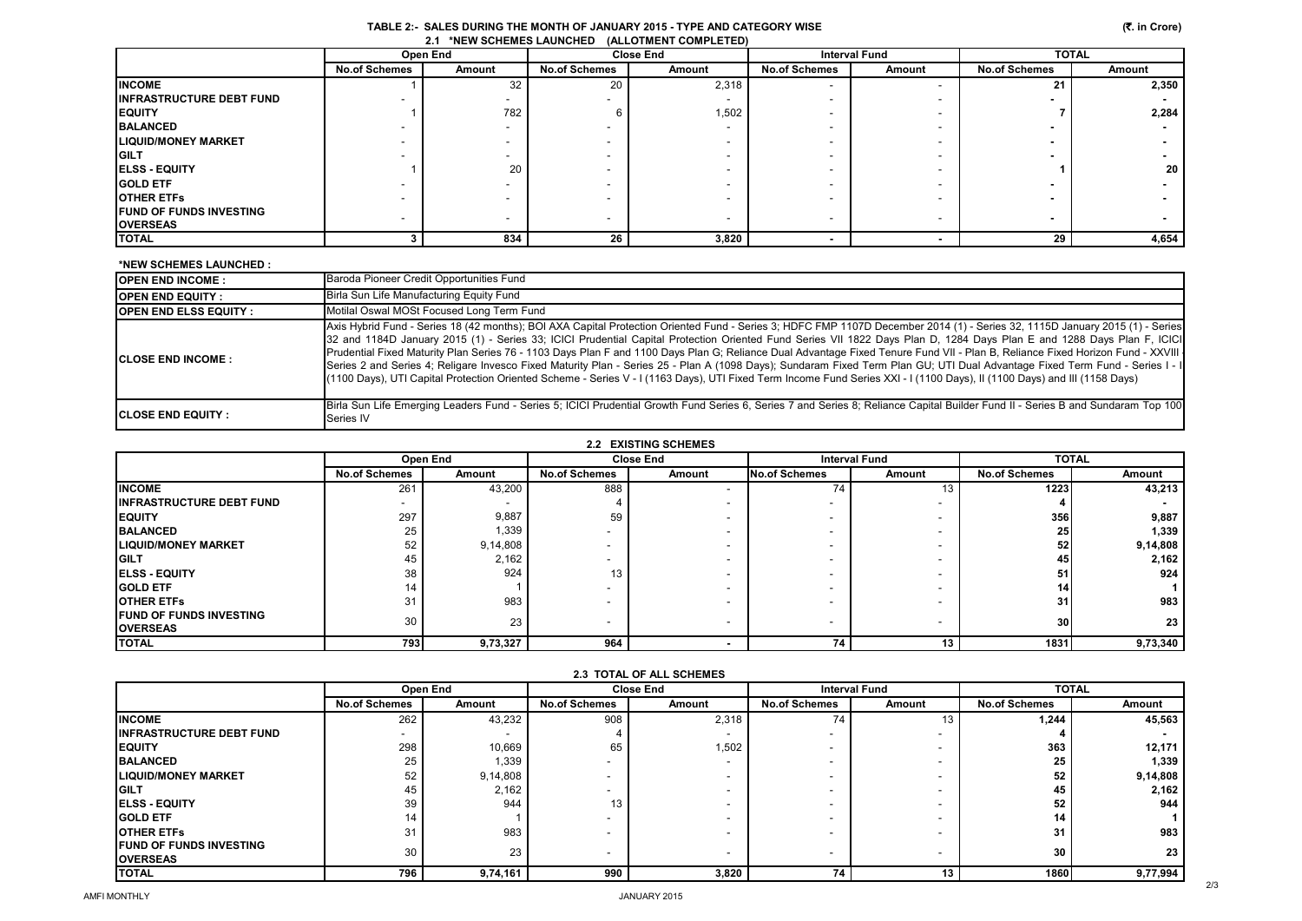|                                 |                      | Open End |                      | <b>Close End</b> |                          | <b>Interval Fund</b>     | <b>TOTAL</b>         |        |
|---------------------------------|----------------------|----------|----------------------|------------------|--------------------------|--------------------------|----------------------|--------|
|                                 | <b>No.of Schemes</b> | Amount   | <b>No.of Schemes</b> | Amount           | <b>No.of Schemes</b>     | Amount                   | <b>No.of Schemes</b> | Amount |
| <b>INCOME</b>                   |                      | 32       | 20                   | 2,318            |                          |                          | 21                   | 2,350  |
| <b>INFRASTRUCTURE DEBT FUND</b> |                      | ۰.       |                      |                  |                          |                          |                      |        |
| <b>EQUITY</b>                   |                      | 782      |                      | 1,502            |                          |                          |                      | 2,284  |
| <b>BALANCED</b>                 |                      |          |                      |                  |                          | $\overline{\phantom{0}}$ |                      |        |
| LIQUID/MONEY MARKET             |                      |          |                      |                  | -                        | $\overline{\phantom{0}}$ |                      |        |
| GILT                            |                      |          |                      |                  | -                        | $\overline{\phantom{0}}$ |                      |        |
| <b>ELSS - EQUITY</b>            |                      | 20       |                      |                  |                          |                          |                      | 20     |
| <b>GOLD ETF</b>                 |                      |          |                      |                  | -                        | $\overline{\phantom{0}}$ |                      |        |
| <b>OTHER ETFs</b>               |                      |          |                      |                  |                          |                          |                      |        |
| <b>FUND OF FUNDS INVESTING</b>  |                      |          |                      | -                | -                        | $\overline{\phantom{a}}$ |                      |        |
| <b>OVERSEAS</b>                 |                      |          |                      |                  |                          |                          |                      |        |
| TOTAL                           |                      | 834      | 26                   | 3,820            | $\overline{\phantom{a}}$ |                          | 29                   | 4,654  |

### **\*NEW SCHEMES LAUNCHED :**

| <b>IOPEN END INCOME :</b>      | Baroda Pioneer Credit Opportunities Fund                                                                                                                                                                                                                                                                                                                                                                                                                                                                                                                                                                                                                                                                                                                                                                                                                                                                  |
|--------------------------------|-----------------------------------------------------------------------------------------------------------------------------------------------------------------------------------------------------------------------------------------------------------------------------------------------------------------------------------------------------------------------------------------------------------------------------------------------------------------------------------------------------------------------------------------------------------------------------------------------------------------------------------------------------------------------------------------------------------------------------------------------------------------------------------------------------------------------------------------------------------------------------------------------------------|
| <b>OPEN END EQUITY :</b>       | Birla Sun Life Manufacturing Equity Fund                                                                                                                                                                                                                                                                                                                                                                                                                                                                                                                                                                                                                                                                                                                                                                                                                                                                  |
| <b>IOPEN END ELSS EQUITY :</b> | Motilal Oswal MOSt Focused Long Term Fund                                                                                                                                                                                                                                                                                                                                                                                                                                                                                                                                                                                                                                                                                                                                                                                                                                                                 |
| <b>ICLOSE END INCOME :</b>     | Axis Hybrid Fund - Series 18 (42 months); BOI AXA Capital Protection Oriented Fund - Series 3; HDFC FMP 1107D December 2014 (1) - Series 32, 1115D January 2015 (1) - Series  <br>32 and 1184D January 2015 (1) - Series 33; ICICI Prudential Capital Protection Oriented Fund Series VII 1822 Days Plan D, 1284 Days Plan E and 1288 Days Plan F, ICICI<br>Prudential Fixed Maturity Plan Series 76 - 1103 Days Plan F and 1100 Days Plan G; Reliance Dual Advantage Fixed Tenure Fund VII - Plan B, Reliance Fixed Horizon Fund - XXVIII -<br>Series 2 and Series 4; Religare Invesco Fixed Maturity Plan - Series 25 - Plan A (1098 Days); Sundaram Fixed Term Plan GU; UTI Dual Advantage Fixed Term Fund - Series I - I<br>(1100 Days), UTI Capital Protection Oriented Scheme - Series V - I (1163 Days), UTI Fixed Term Income Fund Series XXI - I (1100 Days), II (1100 Days) and III (1158 Days) |
| <b>ICLOSE END EQUITY :</b>     | Birla Sun Life Emerging Leaders Fund - Series 5; ICICI Prudential Growth Fund Series 6, Series 7 and Series 8; Reliance Capital Builder Fund II - Series B and Sundaram Top 100<br>Series IV                                                                                                                                                                                                                                                                                                                                                                                                                                                                                                                                                                                                                                                                                                              |

|                                 |                      | Open End | <b>Close End</b>         |        | <b>Interval Fund</b> |                          | <b>TOTAL</b>         |          |
|---------------------------------|----------------------|----------|--------------------------|--------|----------------------|--------------------------|----------------------|----------|
|                                 | <b>No.of Schemes</b> | Amount   | <b>No.of Schemes</b>     | Amount | No.of Schemes        | Amount                   | <b>No.of Schemes</b> | Amount   |
| <b>INCOME</b>                   | 261                  | 43,200   | 888                      |        | 74                   | 13                       | 1223                 | 43,213   |
| <b>INFRASTRUCTURE DEBT FUND</b> |                      |          |                          |        |                      | $\overline{\phantom{a}}$ |                      |          |
| <b>EQUITY</b>                   | 297                  | 9,887    | 59                       |        |                      |                          | 356                  | 9,887    |
| <b>BALANCED</b>                 | 25                   | 1,339    |                          |        |                      | $\overline{\phantom{a}}$ | 25                   | 1,339    |
| <b>LIQUID/MONEY MARKET</b>      | 52                   | 9,14,808 |                          |        |                      | $\overline{\phantom{a}}$ | 52                   | 9,14,808 |
| <b>GILT</b>                     | 45                   | 2,162    |                          |        |                      | $\overline{\phantom{a}}$ | 45                   | 2,162    |
| <b>ELSS - EQUITY</b>            | 38                   | 924      |                          |        |                      | $\overline{\phantom{a}}$ | 51                   | 924      |
| <b>GOLD ETF</b>                 | 14                   |          |                          |        |                      | $\overline{\phantom{a}}$ | 14                   |          |
| <b>OTHER ETFS</b>               | 31                   | 983      |                          |        |                      |                          | 31                   | 983      |
| <b>FUND OF FUNDS INVESTING</b>  | 30                   | 23       | $\overline{\phantom{0}}$ |        |                      | $\overline{\phantom{a}}$ | 30 <sup>l</sup>      | 23       |
| <b>OVERSEAS</b>                 |                      |          |                          |        |                      |                          |                      |          |
| <b>TOTAL</b>                    | 793                  | 9,73,327 | 964                      |        | 74                   | 13                       | 1831                 | 9,73,340 |

|                                 |                      | Open End | <b>Close End</b>         |        | <b>Interval Fund</b>     |                          | <b>TOTAL</b>         |          |
|---------------------------------|----------------------|----------|--------------------------|--------|--------------------------|--------------------------|----------------------|----------|
|                                 | <b>No.of Schemes</b> | Amount   | <b>No.of Schemes</b>     | Amount | <b>No.of Schemes</b>     | Amount                   | <b>No.of Schemes</b> | Amount   |
| <b>INCOME</b>                   | 262                  | 43,232   | 908                      | 2,318  | 74                       | 13                       | 1.244                | 45,563   |
| <b>INFRASTRUCTURE DEBT FUND</b> | $\sim$               |          |                          |        | -                        |                          |                      |          |
| <b>EQUITY</b>                   | 298                  | 10,669   | 65                       | 1,502  |                          |                          | 363                  | 12,171   |
| <b>BALANCED</b>                 | 25                   | 1,339    | $\overline{\phantom{0}}$ |        | $\overline{\phantom{0}}$ |                          | 25                   | 1,339    |
| <b>LIQUID/MONEY MARKET</b>      | 52                   | 9,14,808 |                          |        | -                        |                          | 52                   | 9,14,808 |
| <b>GILT</b>                     | 45                   | 2,162    | $\overline{\phantom{0}}$ |        | -                        | $\overline{\phantom{a}}$ | 45                   | 2,162    |
| <b>IELSS - EQUITY</b>           | 39                   | 944      | 13                       |        | -                        | $\overline{\phantom{a}}$ | 52                   | 944      |
| <b>GOLD ETF</b>                 | 14                   |          | $\overline{\phantom{0}}$ |        |                          |                          | 14                   |          |
| <b>OTHER ETFS</b>               | 31                   | 983      |                          |        |                          |                          | 31                   | 983      |
| <b>IFUND OF FUNDS INVESTING</b> | 30                   | 23       | $\overline{\phantom{0}}$ | -      | $\overline{\phantom{a}}$ | $\overline{\phantom{a}}$ | 30                   | 23       |
| <b>OVERSEAS</b>                 |                      |          |                          |        |                          |                          |                      |          |
| <b>TOTAL</b>                    | 796                  | 9,74,161 | 990                      | 3,820  | 74                       | 13                       | 1860                 | 9,77,994 |

## **2.3 TOTAL OF ALL SCHEMES**